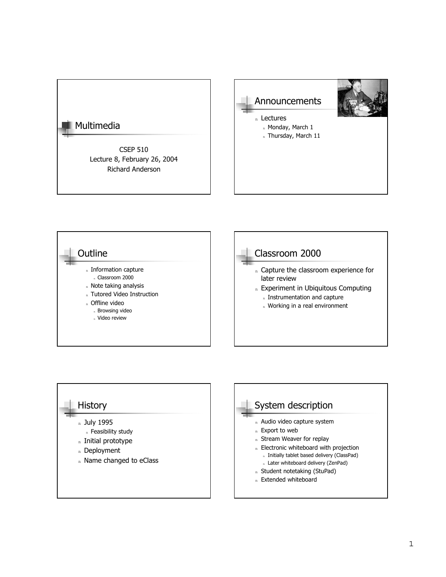# Multimedia

CSEP 510 Lecture 8, February 26, 2004 Richard Anderson







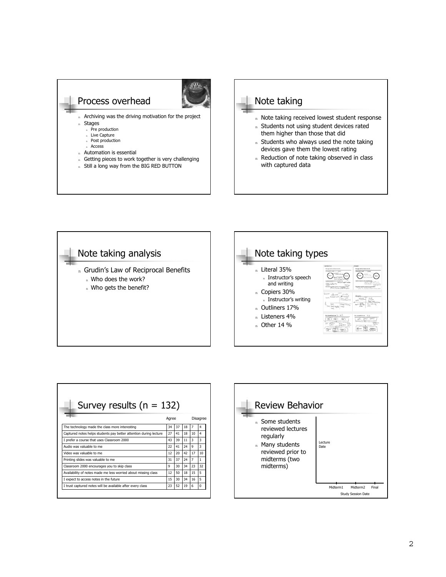



- n Note taking received lowest student response
- n Students not using student devices rated them higher than those that did
- n Students who always used the note taking devices gave them the lowest rating
- n Reduction of note taking observed in class with captured data



| Survey results ( $n = 132$ )                                      |       |    |    |                |                         |  |
|-------------------------------------------------------------------|-------|----|----|----------------|-------------------------|--|
|                                                                   | Agree |    |    | Disagree       |                         |  |
| The technology made the class more interesting                    | 34    | 37 | 18 | $\overline{7}$ | 4                       |  |
| Captured notes helps students pay better attention during lecture | 27    | 41 | 18 | 10             | $\overline{\mathbf{4}}$ |  |
| I prefer a course that uses Classroom 2000                        | 43    | 39 | 11 | 3              | 3                       |  |
| Audio was valuable to me                                          | 22    | 41 | 24 | q              | 3                       |  |
| Video was valuable to me                                          | 12    | 20 | 42 | 17             | 10                      |  |
| Printing slides was valuable to me                                | 31    | 37 | 24 | $\overline{7}$ | 1                       |  |
| Classroom 2000 encourages you to skip class                       | q     | 30 | 34 | 23             | 32                      |  |
| Availability of notes made me less worried about missing class    | 12    | 50 | 18 | 15             | 5                       |  |
| I expect to access notes in the future                            | 15    | 30 | 34 | 16             | 5                       |  |
| I trust captured notes will be available after every class        | 23    | 52 | 19 | 6              | $\Omega$                |  |

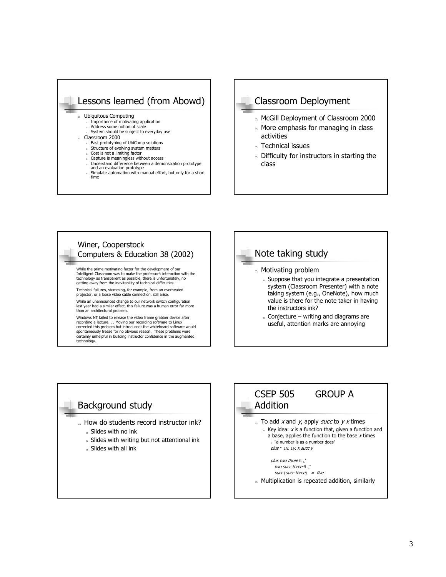

- 
- n Capture is meaningless without access<br>n Understand difference between a demonstration prototype
- and an evaluation prototype <sup>n</sup> Simulate automation with manual effort, but only for a short time



- n McGill Deployment of Classroom 2000
- n More emphasis for managing in class activities
- n Technical issues
- n Difficulty for instructors in starting the class





 $n$  Conjecture – writing and diagrams are useful, attention marks are annoying

#### Background study

- n How do students record instructor ink?
	- <sup>n</sup> Slides with no ink
	- n Slides with writing but not attentional ink
	- n Slides with all ink

#### CSEP 505 GROUP A Addition n To add x and y, apply succ to y x times  $n$  Key idea:  $x$  is a function that, given a function and a base, applies the function to the base  $x$  times "a number is as a number does" plus  $" 1x. 1y. x succ y$ *plus two three*  $\mathrm{fi}_{\phantom{0}\mathrm{b}}^{\phantom{*}}$

two succ three  $\mathrm{fi}_{\mathrm{b}}^{\mathrm{*}}$  $succ$  (succ three) = five n Multiplication is repeated addition, similarly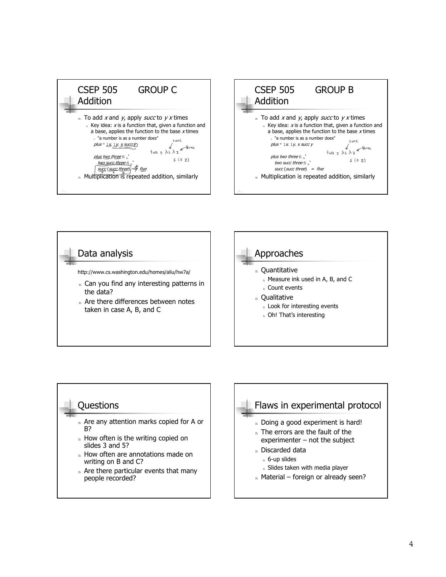CSEP 505 GROUP C Addition n To add x and y, apply succ to  $\gamma$  x times  $n$  Key idea: x is a function that, given a function and a base, applies the function to the base  $x$  times n "a number is as a number does"  $S$  unce  $plus " 1x 1y. x succ$  $t_{\text{W0}} = \lambda s \lambda z$ *plus two three* fi  $\frac{*}{\rm b}$  $s(sz)$ two succ three fi  $\frac{1}{b}$ suc<u>c</u> (s<u>ucc thre</u>e) - = five n Multiplication is repeated addition, similarly







n Are there particular events that many people recorded?

### Flaws in experimental protocol n Doing a good experiment is hard! n The errors are the fault of the experimenter  $-$  not the subject

- <sup>n</sup> Discarded data
	- <sup>n</sup> 6-up slides
	- n Slides taken with media player
- $n$  Material foreign or already seen?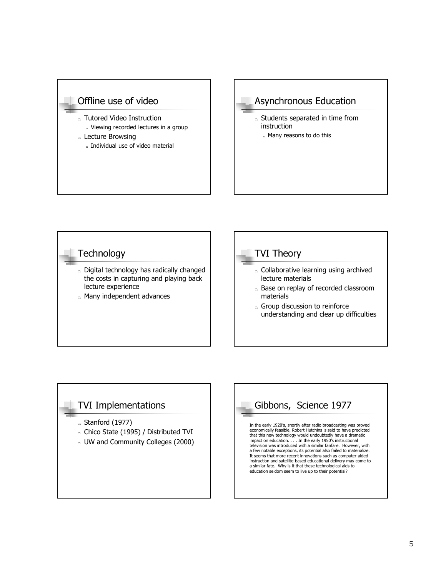





#### TVI Implementations

- n Stanford (1977)
- n Chico State (1995) / Distributed TVI
- n UW and Community Colleges (2000)

# Gibbons, Science 1977

In the early 1920's, shortly after radio broadcasting was proved economically feasible, Robert Hutchins is said to have predicted that this new technology would undoubtedly have a dramatic impact on education. . . . In the early 1950ís instructional television was introduced with a similar fanfare. However, with a few notable exceptions, its potential also failed to materialize. It seems that more recent innovations such as computer-aided instruction and satellite-based educational delivery may come to a similar fate. Why is it that these technological aids to education seldom seem to live up to their potential?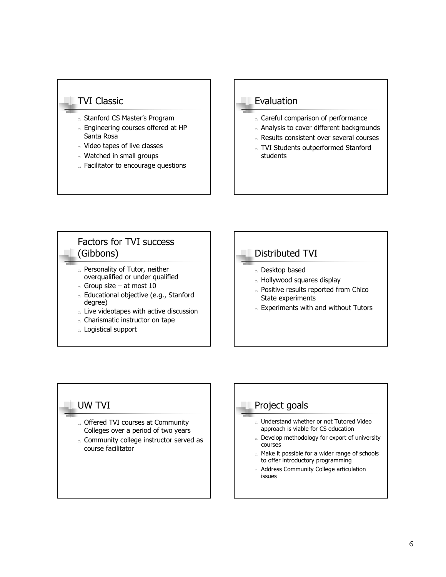#### TVI Classic

- n Stanford CS Master's Program
- n Engineering courses offered at HP Santa Rosa
- n Video tapes of live classes
- n Watched in small groups
- n Facilitator to encourage questions

#### Evaluation

- n Careful comparison of performance
- n Analysis to cover different backgrounds
- n Results consistent over several courses
- n TVI Students outperformed Stanford students

#### Factors for TVI success (Gibbons) n Personality of Tutor, neither overqualified or under qualified  $n$  Group size – at most 10

- n Educational objective (e.g., Stanford degree)
- n Live videotapes with active discussion
- n Charismatic instructor on tape
- n Logistical support

## Distributed TVI

- <sup>n</sup> Desktop based
- n Hollywood squares display
- n Positive results reported from Chico State experiments
- n Experiments with and without Tutors

#### UW TVI

- n Offered TVI courses at Community Colleges over a period of two years
- n Community college instructor served as course facilitator

### Project goals

- n Understand whether or not Tutored Video approach is viable for CS education
- n Develop methodology for export of university courses
- n Make it possible for a wider range of schools to offer introductory programming
- n Address Community College articulation issues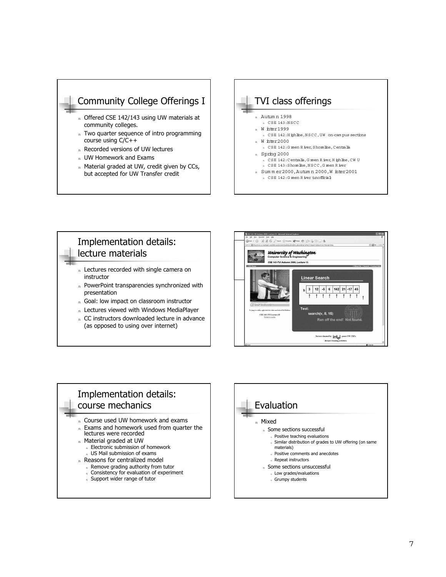

- n Offered CSE 142/143 using UW materials at community colleges.
- n Two quarter sequence of intro programming course using C/C++
- n Recorded versions of UW lectures
- n UW Homework and Exams
- n Material graded at UW, credit given by CCs, but accepted for UW Transfer credit



n CSE 142: G reen R iver (unofficial)

#### Implementation details: lecture materials

- n Lectures recorded with single camera on instructor
- n PowerPoint transparencies synchronized with presentation
- n Goal: low impact on classroom instructor
- n Lectures viewed with Windows MediaPlayer
- n CC instructors downloaded lecture in advance (as opposed to using over internet)



#### Implementation details: course mechanics

- n Course used UW homework and exams
- n Exams and homework used from quarter the lectures were recorded
- n Material graded at UW
	- n Electronic submission of homework
	- n US Mail submission of exams
- n Reasons for centralized model
	- Remove grading authority from tutor
	- n Consistency for evaluation of experiment
	- n Support wider range of tutor

# Evaluation <sup>n</sup> Mixed

- n Some sections successful
- <sup>n</sup> Positive teaching evaluations
- <sup>n</sup> Similar distribution of grades to UW offering (on same materials)
- <sup>n</sup> Positive comments and anecdotes n Repeat instructors
- <sup>n</sup> Some sections unsuccessful
- <sup>n</sup> Low grades/evaluations
- <sup>n</sup> Grumpy students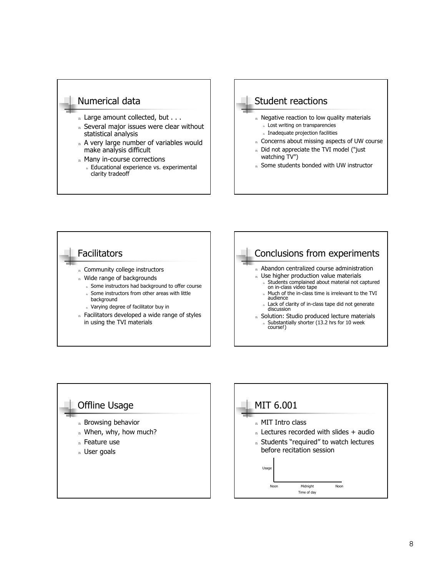#### Numerical data

- n Large amount collected, but . . .
- n Several major issues were clear without statistical analysis
- n A very large number of variables would make analysis difficult
- n Many in-course corrections
	- n Educational experience vs. experimental clarity tradeoff



n Some students bonded with UW instructor





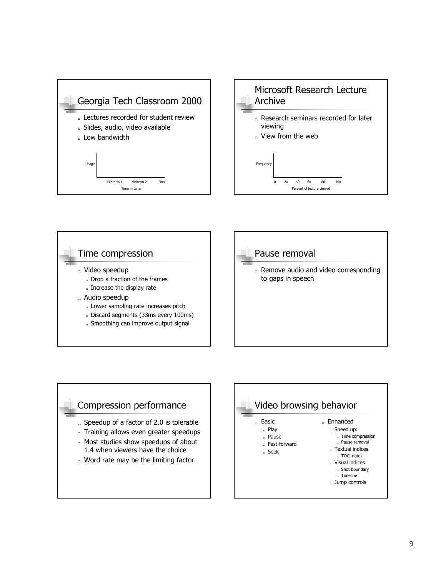